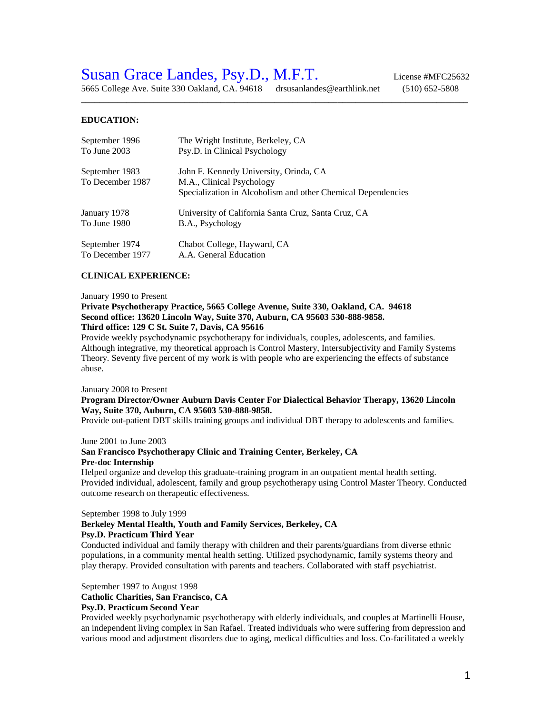# Susan Grace Landes, Psy.D., M.F.T. License #MFC25632

5665 College Ave. Suite 330 Oakland, CA. 94618 drsusanlandes@earthlink.net (510) 652-5808

**\_\_\_\_\_\_\_\_\_\_\_\_\_\_\_\_\_\_\_\_\_\_\_\_\_\_\_\_\_\_\_\_\_\_\_\_\_\_\_\_\_\_\_\_\_\_\_\_\_\_\_\_\_\_\_\_\_\_\_\_\_\_\_\_\_\_\_\_\_\_\_\_\_\_\_\_\_\_\_\_\_\_\_\_\_\_**

#### **EDUCATION:**

| September 1996                     | The Wright Institute, Berkeley, CA                                                                                                  |
|------------------------------------|-------------------------------------------------------------------------------------------------------------------------------------|
| To June 2003                       | Psy.D. in Clinical Psychology                                                                                                       |
| September 1983<br>To December 1987 | John F. Kennedy University, Orinda, CA<br>M.A., Clinical Psychology<br>Specialization in Alcoholism and other Chemical Dependencies |
| January 1978                       | University of California Santa Cruz, Santa Cruz, CA                                                                                 |
| To June 1980                       | B.A., Psychology                                                                                                                    |
| September 1974                     | Chabot College, Hayward, CA                                                                                                         |
| To December 1977                   | A.A. General Education                                                                                                              |

#### **CLINICAL EXPERIENCE:**

#### January 1990 to Present

#### **Private Psychotherapy Practice, 5665 College Avenue, Suite 330, Oakland, CA. 94618 Second office: 13620 Lincoln Way, Suite 370, Auburn, CA 95603 530-888-9858. Third office: 129 C St. Suite 7, Davis, CA 95616**

Provide weekly psychodynamic psychotherapy for individuals, couples, adolescents, and families. Although integrative, my theoretical approach is Control Mastery, Intersubjectivity and Family Systems Theory. Seventy five percent of my work is with people who are experiencing the effects of substance abuse.

#### January 2008 to Present

#### **Program Director/Owner Auburn Davis Center For Dialectical Behavior Therapy, 13620 Lincoln Way, Suite 370, Auburn, CA 95603 530-888-9858.**

Provide out-patient DBT skills training groups and individual DBT therapy to adolescents and families.

#### June 2001 to June 2003

#### **San Francisco Psychotherapy Clinic and Training Center, Berkeley, CA Pre-doc Internship**

Helped organize and develop this graduate-training program in an outpatient mental health setting. Provided individual, adolescent, family and group psychotherapy using Control Master Theory. Conducted outcome research on therapeutic effectiveness.

#### September 1998 to July 1999

#### **Berkeley Mental Health, Youth and Family Services, Berkeley, CA Psy.D. Practicum Third Year**

Conducted individual and family therapy with children and their parents/guardians from diverse ethnic populations, in a community mental health setting. Utilized psychodynamic, family systems theory and play therapy. Provided consultation with parents and teachers. Collaborated with staff psychiatrist.

#### September 1997 to August 1998

#### **Catholic Charities, San Francisco, CA**

#### **Psy.D. Practicum Second Year**

Provided weekly psychodynamic psychotherapy with elderly individuals, and couples at Martinelli House, an independent living complex in San Rafael. Treated individuals who were suffering from depression and various mood and adjustment disorders due to aging, medical difficulties and loss. Co-facilitated a weekly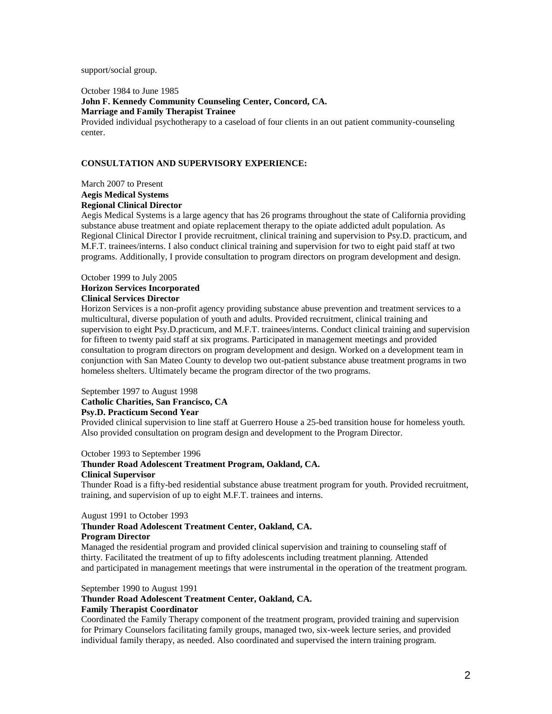#### support/social group.

October 1984 to June 1985 **John F. Kennedy Community Counseling Center, Concord, CA. Marriage and Family Therapist Trainee** Provided individual psychotherapy to a caseload of four clients in an out patient community-counseling center.

## **CONSULTATION AND SUPERVISORY EXPERIENCE:**

March 2007 to Present **Aegis Medical Systems Regional Clinical Director**

Aegis Medical Systems is a large agency that has 26 programs throughout the state of California providing substance abuse treatment and opiate replacement therapy to the opiate addicted adult population. As Regional Clinical Director I provide recruitment, clinical training and supervision to Psy.D. practicum, and M.F.T. trainees/interns. I also conduct clinical training and supervision for two to eight paid staff at two programs. Additionally, I provide consultation to program directors on program development and design.

### October 1999 to July 2005 **Horizon Services Incorporated Clinical Services Director**

Horizon Services is a non-profit agency providing substance abuse prevention and treatment services to a multicultural, diverse population of youth and adults. Provided recruitment, clinical training and supervision to eight Psy.D.practicum, and M.F.T. trainees/interns. Conduct clinical training and supervision for fifteen to twenty paid staff at six programs. Participated in management meetings and provided consultation to program directors on program development and design. Worked on a development team in conjunction with San Mateo County to develop two out-patient substance abuse treatment programs in two homeless shelters. Ultimately became the program director of the two programs.

## September 1997 to August 1998 **Catholic Charities, San Francisco, CA Psy.D. Practicum Second Year**

Provided clinical supervision to line staff at Guerrero House a 25-bed transition house for homeless youth. Also provided consultation on program design and development to the Program Director.

#### October 1993 to September 1996

#### **Thunder Road Adolescent Treatment Program, Oakland, CA. Clinical Supervisor**

Thunder Road is a fifty-bed residential substance abuse treatment program for youth. Provided recruitment, training, and supervision of up to eight M.F.T. trainees and interns.

#### August 1991 to October 1993

#### **Thunder Road Adolescent Treatment Center, Oakland, CA. Program Director**

Managed the residential program and provided clinical supervision and training to counseling staff of thirty. Facilitated the treatment of up to fifty adolescents including treatment planning. Attended and participated in management meetings that were instrumental in the operation of the treatment program.

#### September 1990 to August 1991

## **Thunder Road Adolescent Treatment Center, Oakland, CA.**

## **Family Therapist Coordinator**

Coordinated the Family Therapy component of the treatment program, provided training and supervision for Primary Counselors facilitating family groups, managed two, six-week lecture series, and provided individual family therapy, as needed. Also coordinated and supervised the intern training program.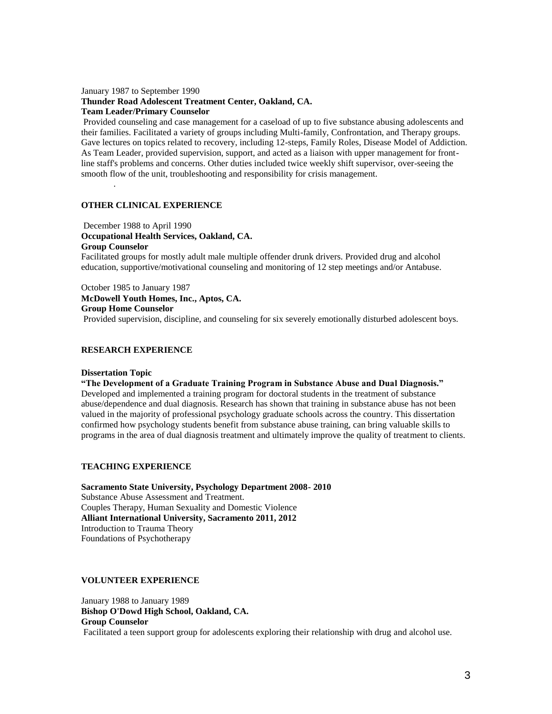#### January 1987 to September 1990 **Thunder Road Adolescent Treatment Center, Oakland, CA. Team Leader/Primary Counselor**

Provided counseling and case management for a caseload of up to five substance abusing adolescents and their families. Facilitated a variety of groups including Multi-family, Confrontation, and Therapy groups. Gave lectures on topics related to recovery, including 12-steps, Family Roles, Disease Model of Addiction. As Team Leader, provided supervision, support, and acted as a liaison with upper management for frontline staff's problems and concerns. Other duties included twice weekly shift supervisor, over-seeing the smooth flow of the unit, troubleshooting and responsibility for crisis management.

## **OTHER CLINICAL EXPERIENCE**

December 1988 to April 1990 **Occupational Health Services, Oakland, CA. Group Counselor**

Facilitated groups for mostly adult male multiple offender drunk drivers. Provided drug and alcohol education, supportive/motivational counseling and monitoring of 12 step meetings and/or Antabuse.

October 1985 to January 1987 **McDowell Youth Homes, Inc., Aptos, CA. Group Home Counselor** Provided supervision, discipline, and counseling for six severely emotionally disturbed adolescent boys.

## **RESEARCH EXPERIENCE**

#### **Dissertation Topic**

.

**"The Development of a Graduate Training Program in Substance Abuse and Dual Diagnosis."** Developed and implemented a training program for doctoral students in the treatment of substance abuse/dependence and dual diagnosis. Research has shown that training in substance abuse has not been valued in the majority of professional psychology graduate schools across the country. This dissertation confirmed how psychology students benefit from substance abuse training, can bring valuable skills to programs in the area of dual diagnosis treatment and ultimately improve the quality of treatment to clients.

#### **TEACHING EXPERIENCE**

**Sacramento State University, Psychology Department 2008- 2010** Substance Abuse Assessment and Treatment. Couples Therapy, Human Sexuality and Domestic Violence **Alliant International University, Sacramento 2011, 2012** Introduction to Trauma Theory Foundations of Psychotherapy

#### **VOLUNTEER EXPERIENCE**

January 1988 to January 1989 **Bishop O'Dowd High School, Oakland, CA. Group Counselor** Facilitated a teen support group for adolescents exploring their relationship with drug and alcohol use.